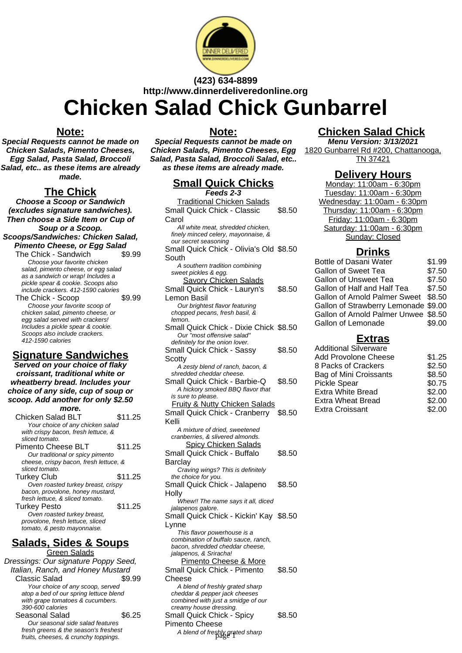

## **(423) 634-8899 http://www.dinnerdeliveredonline.org**

# **Chicken Salad Chick Gunbarrel**

#### **Note:**

**Special Requests cannot be made on Chicken Salads, Pimento Cheeses, Egg Salad, Pasta Salad, Broccoli Salad, etc.. as these items are already made.**

#### **The Chick**

**Choose a Scoop or Sandwich (excludes signature sandwiches). Then choose a Side Item or Cup of Soup or a Scoop. Scoops/Sandwiches: Chicken Salad, Pimento Cheese, or Egg Salad**

The Chick - Sandwich \$9.99 Choose your favorite chicken salad, pimento cheese, or egg salad as a sandwich or wrap! Includes a pickle spear & cookie. Scoops also include crackers. 412-1590 calories The Chick - Scoop \$9.99 Choose your favorite scoop of chicken salad, pimento cheese, or egg salad served with crackers! Includes a pickle spear & cookie. Scoops also include crackers. 412-1590 calories

### **Signature Sandwiches**

**Served on your choice of flaky croissant, traditional white or wheatberry bread. Includes your choice of any side, cup of soup or scoop. Add another for only \$2.50**

**more.** Chicken Salad BLT \$11.25 Your choice of any chicken salad with crispy bacon, fresh lettuce, & sliced tomato. Pimento Cheese BLT \$11.25 Our traditional or spicy pimento cheese, crispy bacon, fresh lettuce, & sliced tomato. Turkey Club \$11.25 Oven roasted turkey breast, crispy bacon, provolone, honey mustard, fresh lettuce, & sliced tomato. Turkey Pesto **\$11.25** Oven roasted turkey breast, provolone, fresh lettuce, sliced tomato, & pesto mayonnaise.

#### **Salads, Sides & Soups** Green Salads

Dressings: Our signature Poppy Seed, Italian, Ranch, and Honey Mustard Classic Salad \$9.99 Your choice of any scoop, served atop a bed of our spring lettuce blend with grape tomatoes & cucumbers. 390-600 calories Seasonal Salad \$6.25 Our seasonal side salad features fresh greens & the season's freshest fruits, cheeses, & crunchy toppings.

#### **Note:**

**Special Requests cannot be made on Chicken Salads, Pimento Cheeses, Egg Salad, Pasta Salad, Broccoli Salad, etc.. as these items are already made.**

### **Small Quick Chicks**

**Traditional Chicken Sala** Small Quick Chick - Class Carol \$8.50 All white meat, shredded ch finely minced celery, mayonna our secret seasoning Small Quick Chick - Olivia South \$8.50 A southern tradition combin sweet pickles & egg. Savory Chicken Sala Small Quick Chick - Laury Lemon Basil \$8.50 Our brightest flavor featuring chopped pecans, fresh basil, lemon. Small Quick Chick - Dixie Our "most offensive salad" definitely for the onion lover. Small Quick Chick - Sass **Scotty** \$8.50 A zesty blend of ranch, bac shredded cheddar cheese. Small Quick Chick - Barbi A hickory smoked BBQ flav is sure to please. Fruity & Nutty Chicken Salads Small Quick Chick - Cranberry \$8.50 Kelli A mixture of dried, sweetened cranberries, & slivered almonds. Spicy Chicken Salads Small Quick Chick - Buffalo **Barclay** \$8.50 Craving wings? This is definitely the choice for you. Small Quick Chick - Jalapeno **Holly** \$8.50 Whew!! The name says it all, diced jalapenos galore. Small Quick Chick - Kickin' Kay \$8.50 Lynne This flavor powerhouse is a combination of buffalo sauce, ranch, bacon, shredded cheddar cheese, jalapenos, & Sriracha! Pimento Cheese & More Small Quick Chick - Pimento Cheese \$8.50 A blend of freshly grated sharp cheddar & pepper jack cheeses combined with just a smidge of our creamy house dressing.

Small Quick Chick - Spicy

A blend of freshly grated sharp page 1

\$8.50

Pimento Cheese

**Feeds 2-3**

| <u>alads</u><br>ic | \$8.50 | Wednesday: 11:00am - 6:30pm<br>Thursday: 11:00am - 6:30pm                |                  |
|--------------------|--------|--------------------------------------------------------------------------|------------------|
| iicken,<br>aise, & |        | Friday: 11:00am - 6:30pm<br>Saturday: 11:00am - 6:30pm<br>Sunday: Closed |                  |
| I's Old \$8.50     |        | <b>Drinks</b>                                                            |                  |
| ing                |        | <b>Bottle of Dasani Water</b><br>Gallon of Sweet Tea                     | \$1.99<br>\$7.50 |
| <u>ads</u><br>'n's | \$8.50 | Gallon of Unsweet Tea<br>Gallon of Half and Half Tea                     | \$7.50<br>\$7.50 |
| g<br>&             |        | <b>Gallon of Arnold Palmer Sweet</b><br>Gallon of Strawberry Lemonade    | \$8.50<br>\$9.00 |
| Chick \$8.50       |        | Gallon of Arnold Palmer Unwee<br>Gallon of Lemonade                      | \$8.50<br>\$9.00 |
|                    |        | <b>Extras</b>                                                            |                  |
| V                  | \$8.50 | <b>Additional Silverware</b><br><b>Add Provolone Cheese</b>              | \$1.25           |
| on, &              |        | 8 Packs of Crackers                                                      | \$2.50           |
| e-Q<br>or that     | \$8.50 | Bag of Mini Croissants<br><b>Pickle Spear</b>                            | \$8.50<br>\$0.75 |
| المناسبات          |        | Extra White Bread<br>Extra Wheat Bread                                   | \$2.00<br>\$2.00 |

**Chicken Salad Chick Menu Version: 3/13/2021** 1820 Gunbarrel Rd #200, Chattanooga, TN 37421

> **Delivery Hours** Monday: 11:00am - 6:30pm Tuesday: 11:00am - 6:30pm

Extra Croissant \$2.00